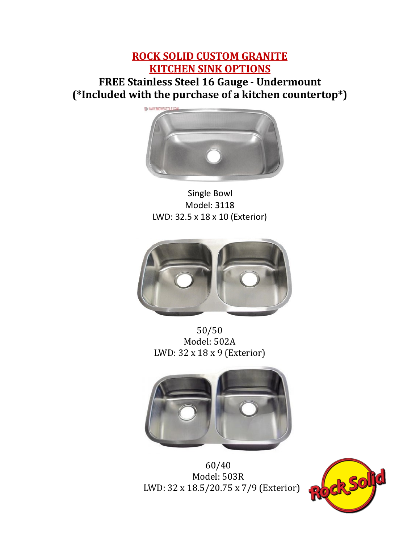## **ROCK SOLID CUSTOM GRANITE KITCHEN SINK OPTIONS FREE Stainless Steel 16 Gauge - Undermount (\*Included with the purchase of a kitchen countertop\*)**



 Single Bowl Model: 3118 LWD: 32.5 x 18 x 10 (Exterior)



50/50 Model: 502A LWD: 32 x 18 x 9 (Exterior)



 60/40 Model: 503R LWD: 32 x 18.5/20.75 x 7/9 (Exterior)

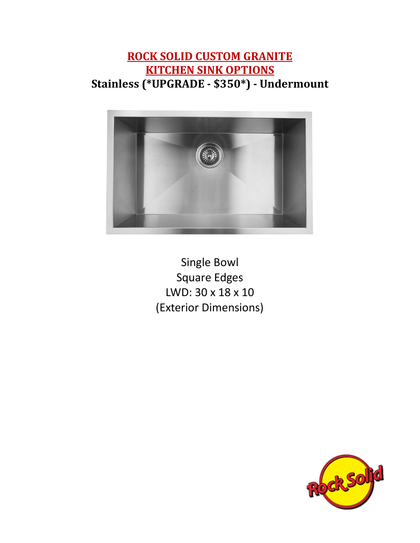## **ROCK SOLID CUSTOM GRANITE KITCHEN SINK OPTIONS Stainless (\*UPGRADE - \$350\*) - Undermount**



Single Bowl Square Edges LWD: 30 x 18 x 10 (Exterior Dimensions)

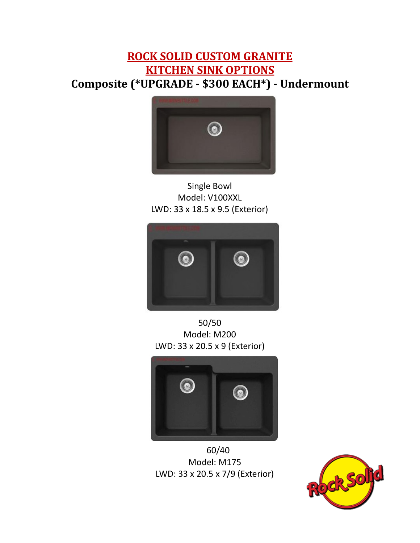## **ROCK SOLID CUSTOM GRANITE KITCHEN SINK OPTIONS Composite (\*UPGRADE - \$300 EACH\*) - Undermount**



Single Bowl Model: V100XXL LWD: 33 x 18.5 x 9.5 (Exterior)



50/50 Model: M200 LWD: 33 x 20.5 x 9 (Exterior)



 60/40 Model: M175 LWD: 33 x 20.5 x 7/9 (Exterior)

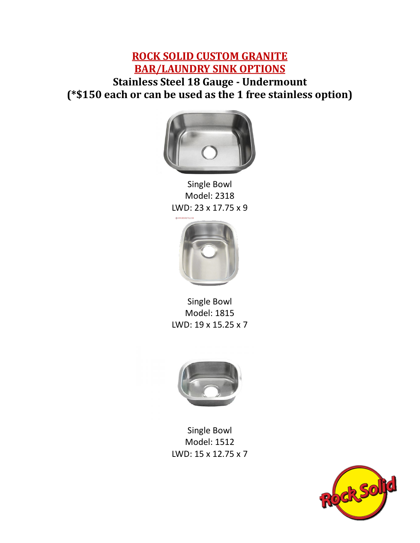## **ROCK SOLID CUSTOM GRANITE BAR/LAUNDRY SINK OPTIONS Stainless Steel 18 Gauge - Undermount (\*\$150 each or can be used as the 1 free stainless option)**



Single Bowl Model: 2318 LWD: 23 x 17.75 x 9



Single Bowl Model: 1815 LWD: 19 x 15.25 x 7



Single Bowl Model: 1512 LWD: 15 x 12.75 x 7